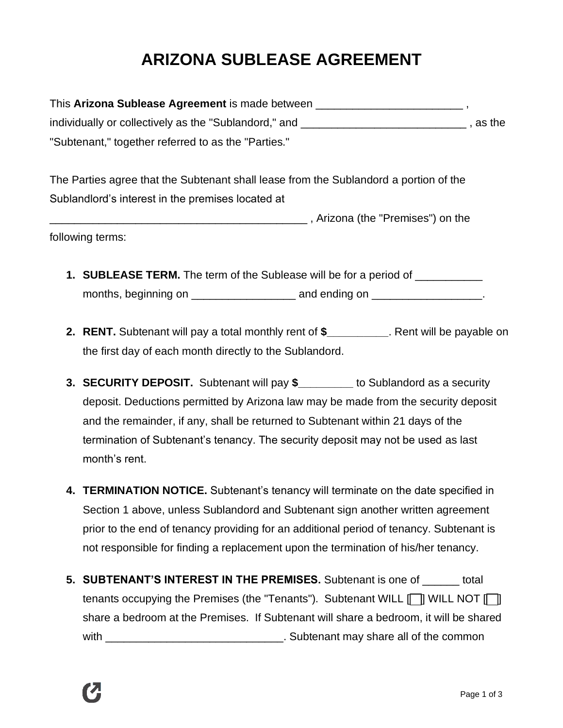## **ARIZONA SUBLEASE AGREEMENT**

| This Arizona Sublease Agreement is made between       |          |
|-------------------------------------------------------|----------|
| individually or collectively as the "Sublandord," and | , as the |
| "Subtenant," together referred to as the "Parties."   |          |

The Parties agree that the Subtenant shall lease from the Sublandord a portion of the Sublandlord's interest in the premises located at

\_\_\_\_\_\_\_\_\_\_\_\_\_\_\_\_\_\_\_\_\_\_\_\_\_\_\_\_\_\_\_\_\_\_\_\_\_\_\_\_\_\_ , Arizona (the "Premises") on the following terms:

- **1. SUBLEASE TERM.** The term of the Sublease will be for a period of \_\_\_\_\_\_\_\_\_\_\_ months, beginning on example and ending on  $\Box$
- **2. RENT.** Subtenant will pay a total monthly rent of **\$\_\_\_\_\_\_\_\_\_\_**. Rent will be payable on the first day of each month directly to the Sublandord.
- **3. SECURITY DEPOSIT.** Subtenant will pay **\$\_\_\_\_\_\_\_\_\_** to Sublandord as a security deposit. Deductions permitted by Arizona law may be made from the security deposit and the remainder, if any, shall be returned to Subtenant within 21 days of the termination of Subtenant's tenancy. The security deposit may not be used as last month's rent.
- **4. TERMINATION NOTICE.** Subtenant's tenancy will terminate on the date specified in Section 1 above, unless Sublandord and Subtenant sign another written agreement prior to the end of tenancy providing for an additional period of tenancy. Subtenant is not responsible for finding a replacement upon the termination of his/her tenancy.
- **5. SUBTENANT'S INTEREST IN THE PREMISES.** Subtenant is one of \_\_\_\_\_\_ total tenants occupying the Premises (the "Tenants"). Subtenant WILL  $\Box$  WILL NOT  $\Box$ share a bedroom at the Premises. If Subtenant will share a bedroom, it will be shared with \_\_\_\_\_\_\_\_\_\_\_\_\_\_\_\_\_\_\_\_\_\_\_\_\_\_\_\_\_\_\_\_\_\_\_. Subtenant may share all of the common

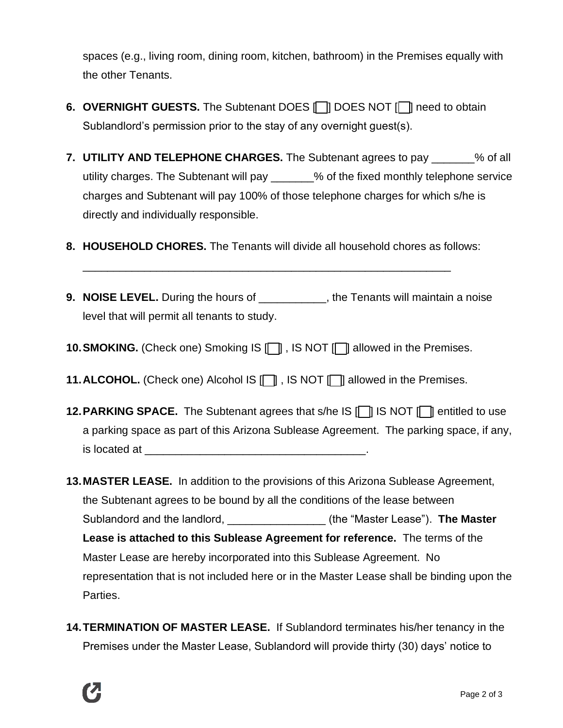spaces (e.g., living room, dining room, kitchen, bathroom) in the Premises equally with the other Tenants.

- **6. OVERNIGHT GUESTS.** The Subtenant DOES **[** ] DOES NOT **[** ] need to obtain Sublandlord's permission prior to the stay of any overnight guest(s).
- **7. UTILITY AND TELEPHONE CHARGES.** The Subtenant agrees to pay \_\_\_\_\_\_\_% of all utility charges. The Subtenant will pay \_\_\_\_\_\_\_% of the fixed monthly telephone service charges and Subtenant will pay 100% of those telephone charges for which s/he is directly and individually responsible.
- **8. HOUSEHOLD CHORES.** The Tenants will divide all household chores as follows:

\_\_\_\_\_\_\_\_\_\_\_\_\_\_\_\_\_\_\_\_\_\_\_\_\_\_\_\_\_\_\_\_\_\_\_\_\_\_\_\_\_\_\_\_\_\_\_\_\_\_\_\_\_\_\_\_\_\_\_\_

- **9. NOISE LEVEL.** During the hours of **the Tenants will maintain a noise** level that will permit all tenants to study.
- **10. SMOKING.** (Check one) Smoking IS  $\Box$ , IS NOT  $\Box$  allowed in the Premises.
- **11. ALCOHOL.** (Check one) Alcohol IS  $\Box$  , IS NOT  $\Box$  allowed in the Premises.
- **12. PARKING SPACE.** The Subtenant agrees that s/he IS [ ] IS NOT [ ] entitled to use a parking space as part of this Arizona Sublease Agreement. The parking space, if any, is located at \_\_\_\_\_\_\_\_\_\_\_\_\_\_\_\_\_\_\_\_\_\_\_\_\_\_\_\_\_\_\_\_\_\_\_\_.
- **13.MASTER LEASE.** In addition to the provisions of this Arizona Sublease Agreement, the Subtenant agrees to be bound by all the conditions of the lease between Sublandord and the landlord, **Example 20 and the Subset Constanting Subset Cease**"). **The Master Lease is attached to this Sublease Agreement for reference.** The terms of the Master Lease are hereby incorporated into this Sublease Agreement. No representation that is not included here or in the Master Lease shall be binding upon the Parties.
- **14.TERMINATION OF MASTER LEASE.** If Sublandord terminates his/her tenancy in the Premises under the Master Lease, Sublandord will provide thirty (30) days' notice to